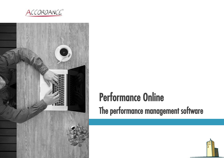



### Performance Online The performance management software

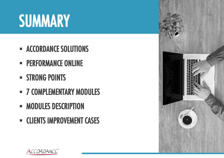## **SUMMARY**

- ACCORDANCE SOLUTIONS
- **EXPERFORMANCE ONLINE**
- **E** STRONG POINTS
- **7 COMPLEMENTARY MODULES**
- **MODULES DESCRIPTION**
- **EXECUTENTS IMPROVEMENT CASES**



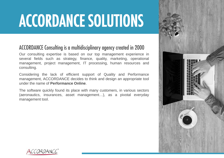## ACCORDANCE SOLUTIONS

#### ACCORDANCE Consulting is a multidisciplinary agency created in 2000

Our consulting expertise is based on our top management experience in several fields such as strategy, finance, quality, marketing, operational management, project management, IT processing, human resources and consulting.

Considering the lack of efficient support of Quality and Performance management, ACCORDANCE decides to think and design an appropriate tool under the name of **Performance Online**.

The software quickly found its place with many customers, in various sectors (aeronautics, insurances, asset management…), as a pivotal everyday management tool.



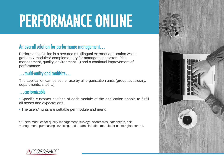## PERFORMANCE ONLINE

#### An overall solution for performance management…

Performance Online is a secured multilingual extranet application which gathers 7 modules\* complementary for management system (risk management, quality, environment…) and a continual improvement of performance

#### …multi-entity and multisite…

The application can be set for use by all organization units (group, subsidiary, departments, sites…)

#### …customizable

• Specific customer settings of each module of the application enable to fulfill all needs and expectations.

• The users' rights are settable per module and menu.

\*7 users modules for quality management, surveys, scorecards, datasheets, risk management, purchasing, invoicing, and 1 administration module for users rights control.



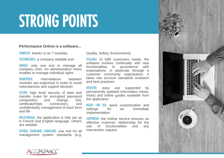### STRONG POINTS

#### **Performance Online is a software...**

COMPLETE**:** thanks to its 7 modules

CUSTOMIZABLE: a company settable tool

UNIQUE: only one tool to manage all company units. An administration menu enables to manage individual rights

TRANSVERSE: Interrelations between modules are organised in order to avoid redundancies and support decision

SECURE: high level security of data and transfer (rules for encrypted password composition and change, SSL certificate/https connection), and confidentiality management of each form and file

MULTILINGUAL: the application is fully set up in French and English language. Others are settable

SEVERAL STANDARDS COMPLIANT: one tool for all management system standards (e.g.

Quality, Safety, Environment)

SCALABLE: to fulfil customers needs, the software evolves continually with new functionalities in accordance with expectations, in particular through a customer community organisation. It takes into account standards evolution and best practices

INTUITIVE: easy use supported by permanently updated information (news, tricks) and online guides available from the application

READY FOR USE: quick customization and settings for an immediate implementation

SUPPORTED: the hotline service ensures an effective customer relationship for the use of functionalities and any intervention request



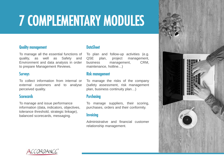### 7 COMPLEMENTARY MODULES

#### Quality management

To manage all the essential functions of quality, as well as Safety and Environment and data analysis in order to prepare Management Reviews.

#### **Surveys**

To collect information from internal or external customers and to analyse perceived quality.

#### **Scorecards**

To manage and issue performance information (data, indicators, objectives, tolerance threshold, strategic linkage), balanced scorecards, messaging.

#### DataSheet

To plan and follow-up activities (e.g. QSE plan, project management, business management, CRM, maintenance, hotline…)

#### Risk management

To manage the risks of the company (safety assessment, risk management plan, business continuity plan…)

#### **Purchasing**

To manage suppliers, their scoring, purchases, orders and their conformity.

#### **Invoicing**

Administrative and financial customer relationship management.



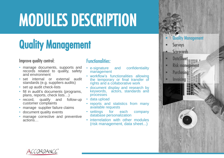### Quality Management

#### Improve quality control:

- manage documents, supports and records related to quality, safety and environment
- set internal or external audit standards (e.g. suppliers audits)
- set up audit check-lists
- fill in audit's documents (programs, plans, reports, check lists…)
- record, qualify and follow-up customer complaints
- manage supplier failure claims
- document quality events
- manage corrective and preventive actions…

- e-signature and confidentiality management
- workflow's functionalities allowing the temporary or final transfer of rights and a collaborative work
- document display and research by keywords, actors, standards and processes
- data upload
- reports and statistics from many available requests
- settings for each company database personalization
- interrelation with other modules (risk management, data sheet...)



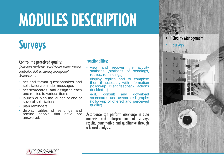### **Surveys**

#### Control the perceived quality:

(customers satisfaction, social climate survey, training evaluation, skills assessment, management barometer…)

- set and format questionnaires and solicitation/reminder messages
- set scorecards and assign to each one replies to various items
- launch or plan the launch of one or several solicitations
- plan reminders
- display tables of sendings and<br>remind people that have not remind people that have answered…

#### Functionalities:

- view and recover the activity statistics (statistics of sendings, replies, remindings)
- display replies and to complete them if necessary with information (follow-up, client feedback, actions decided…)
- edit, consult and download scorecards and associated graphs (follow-up of offered and perceived quality)…

Accordance can perform assistance in data analysis and interpretation of surveys results, quantitative and qualitative through a lexical analysis.



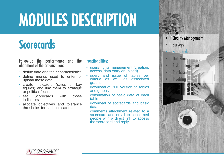### **Scorecards**

Follow-up the performance and the alignment of the organization:

- define data and their characteristics
- define menus used to enter or upload those data
- create indicators (ratios or key figures) and link them to strategic or political focus
- set Scorecards with those indicators
- allocate objectives and tolerance thresholds for each indicator…

- users rights management (creation, access, data entry or upload)
- query and issue of tables per criteria as well as associated graphs
- download of PDF version of tables and graphs
- consultation of basic data of each table
- download of scorecards and basic data
- comments attachment related to a scorecard and email to concerned people with a direct link to access the scorecard and reply…



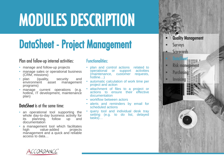### DataSheet - Project Management

#### Plan and follow-up internal activities:

- manage and follow-up projects
- manage sales or operational business (CRM, missions)
- plan (quality, security and<br>environment asset management environment asset programs)
- manage current operations (e.g. hotline, IT development, maintenance plan)

#### DataSheet is at the same time:

- an operational tool supporting the whole day-to-day business activity for<br>its planning. follow up and its planning, follow up documentation
- a management tool which facilitates<br>high value-added projects value-added management and a quick and reliable access to data…

- plan and control actions related to operational or support activities<br>(maintenance, customer requests,  $(maintenance, customer)$ hotline…)
- automatic calculation of work time per project and action
- attachment of files to a project or actions to ensure their effective documentation
- workflow between actors
- alerts and reminders by email for scheduled actions
- query tool and individual desk tray setting (e.g. to do list, delayed tasks)…



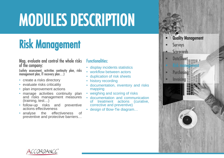### Risk Management

Map, evaluate and control the whole risks of the company:

(safety assessment, activities continuity plan, risks management plan, IT recovery plan…)

- create a risks directory
- evaluate risks criticality
- plan improvement actions
- manage activities continuity plan and risks management measures (training, test…)
- follow-up risks and preventive actions effectiveness
- analyse the effectiveness of preventive and protective barriers…

- display incidents statistics
- workflow between actors
- duplication of risk sheets
- history recording
- documentation, inventory and risks mapping
- weighing and scoring of risks
- documentation and communication of treatment actions (curative, corrective and preventive)
- design of Bow-Tie diagram…



![](_page_10_Picture_20.jpeg)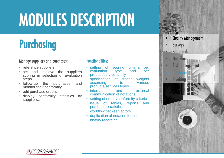### Purchasing

#### Manage suppliers and purchases:

- reference suppliers
- set and achieve the suppliers scoring in selection or evaluation steps
- follow-up the purchases and monitor their conformity
- edit purchase orders
- display conformity statistics by suppliers…

- setting of scoring criteria per evaluation type and per product/service family
- specification of criteria weights<br>according to various according products/services types
- internal and external communication of notations
- setting of orders conformity criteria
- issue of tables, reports and purchases statistics
- workflow between actors
- duplication of notation forms
- history recording...

![](_page_11_Picture_17.jpeg)

![](_page_11_Picture_18.jpeg)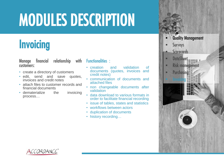### **Invoicing**

Manage financial relationship with Functionalities : customers:

- create a directory of customers
- edit, send and save quotes, invoices and credit notes
- attach files to customer records and financial documents
- dematerialize the invoicing process…

- creation and validation of documents (quotes, invoices and credit notes)
- communication of documents and attached files
- non changeable documents after validation
- data download to various formats in order to facilitate financial recording
- issue of tables, states and statistics
- workflows between actors
- duplication of documents
- history recording...

![](_page_12_Picture_16.jpeg)

![](_page_12_Picture_17.jpeg)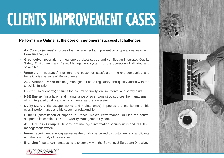## CLIENTS IMPROVEMENT CASES

#### **Performance Online, at the core of customers' successful challenges**

- **Air Corsica** (airlines) improves the management and prevention of operational risks with Bow-Tie analysis.
- **Greensolver** (operation of new energy sites) set up and certifies an integrated Quality Safety Environment and Asset Management system for the operation of all wind and solar sites.
- **Verspieren** (insurance) monitors the customer satisfaction client companies and beneficiaries persons of life insurance.
- **ASL Airlines France** (airlines) manages all of its regulatory and quality audits with the checklist function.
- **O'Sitoit** (solar energy) ensures the control of quality, environmental and safety risks.
- **KBE Energy** (installation and maintenance of solar panels) outsources the management of its integrated quality and environmental assurance system.
- **Dufay-Mandre** (landscape works and maintenance) improves the monitoring of his overall performance and his customer relationship.
- **COHOR** (coordination of airports in France) makes Performance On Line the central support of its certified ISO9001 Quality Management System.
- **ASL Airlines - Group IT Department** manages information security risks and its ITILV3 management system.
- **Innoé** (recruitment agency) assesses the quality perceived by customers and applicants and the conformity of its services.
- **Branchet** (insurance) manages risks to comply with the Solvency 2 European Directive.

![](_page_13_Picture_13.jpeg)

![](_page_13_Picture_14.jpeg)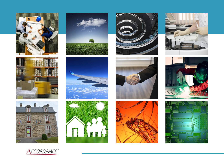![](_page_14_Picture_0.jpeg)

![](_page_14_Picture_1.jpeg)

![](_page_14_Picture_2.jpeg)

![](_page_14_Picture_3.jpeg)

![](_page_14_Picture_4.jpeg)

![](_page_14_Picture_5.jpeg)

![](_page_14_Picture_6.jpeg)

![](_page_14_Picture_7.jpeg)

![](_page_14_Picture_8.jpeg)

![](_page_14_Picture_9.jpeg)

![](_page_14_Picture_10.jpeg)